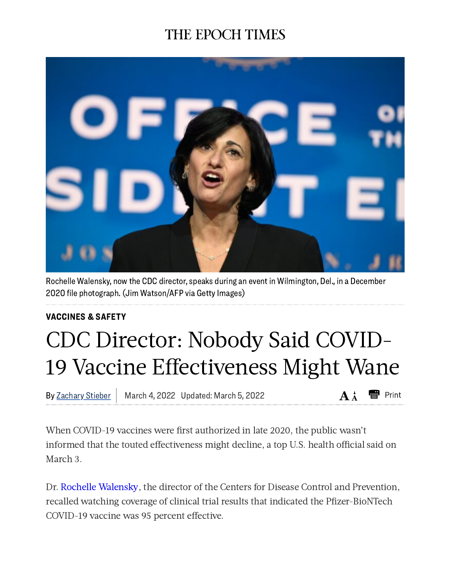## THE EPOCH TIMES



Rochelle Walensky, now the CDC director, speaks during an event in Wilmington, Del., in a December 2020 file photograph.(Jim Watson/AFP via Getty Images)

## [VACCINES](https://www.theepochtimes.com/c-vaccines) & SAFETY

## CDC Director: Nobody Said COVID-19 Vaccine Effectiveness Might Wane

By <u>Zachary Stieber</u> | March 4, 2022 Updated: March 5, 2022  $\mathbf{A}^{\mathbf{\star}}_{\mathbf{A}}$   $\mathbf{E}$  Print

When COVID-19 vaccines were first authorized in late 2020, the public wasn't informed that the touted effectiveness might decline, a top U.S. health official said on March 3.

Dr. Rochelle [Walensky,](https://www.theepochtimes.com/t-rochelle-walensky) the director of the Centers for Disease Control and Prevention, recalled watching coverage of clinical trial results that indicated the Pfizer-BioNTech COVID-19 vaccine was 95 percent effective.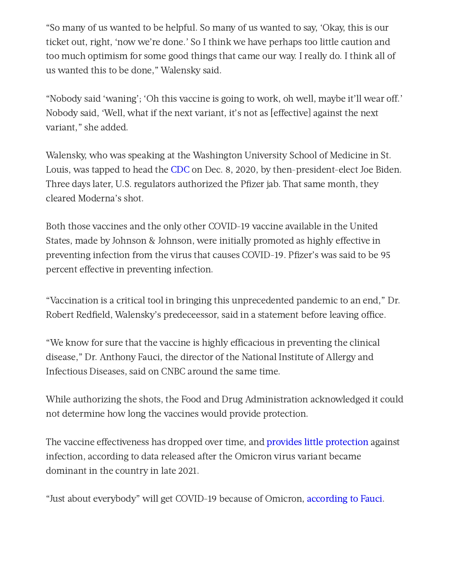"So many of us wanted to be helpful. So many of us wanted to say, 'Okay, this is our ticket out, right, 'now we're done.' So I think we have perhaps too little caution and too much optimism for some good things that came our way. I really do. I think all of us wanted this to be done," Walensky said.

"Nobody said 'waning': 'Oh this vaccine is going to work, oh well, maybe it'll wear off,' Nobody said, 'Well, what if the next variant, it's not as [effective] against the next variant," she added.

Walensky, who was speaking at the Washington University School of Medicine in St. Louis, was tapped to head the [CDC](https://www.theepochtimes.com/t-cdc) on Dec. 8, 2020, by then-president-elect Joe Biden. Three days later, U.S. regulators authorized the Pfizer jab. That same month, they cleared Moderna's shot.

Both those vaccines and the only other COVID-19 vaccine available in the United States, made by Johnson & Johnson, were initially promoted as highly effective in preventing infection from the virus that causes COVID-19. Pfizer's was said to be 95 percent effective in preventing infection.

"Vaccination is a critical tool in bringing this unprecedented pandemic to an end," Dr. Robert Redfield, Walensky's predeceessor, said in a statement before leaving office.

"We know for sure that the vaccine is highly efficacious in preventing the clinical disease," Dr. Anthony Fauci, the director of the National Institute of Allergy and Infectious Diseases, said on CNBC around the same time.

While authorizing the shots, the Food and Drug Administration acknowledged it could not determine how long the vaccines would provide protection.

The vaccine effectiveness has dropped over time, and [provides](https://www.theepochtimes.com/infection-hospitalization-gap-narrows-between-unvaccinated-and-vaccinated-study_4251934.html) little [protection](https://www.theepochtimes.com/vaccinated-people-more-likely-to-contract-covid-19-go-to-hospital-in-recent-weeks-cdc-data_4300048.html) against infection, according to data released after the Omicron virus variant became dominant in the country in late 2021.

"Just about everybody" will get COVID-19 because of Omicron, [according](https://www.theepochtimes.com/just-about-everybody-will-get-covid-19-fauci_4208152.html) to Fauci.